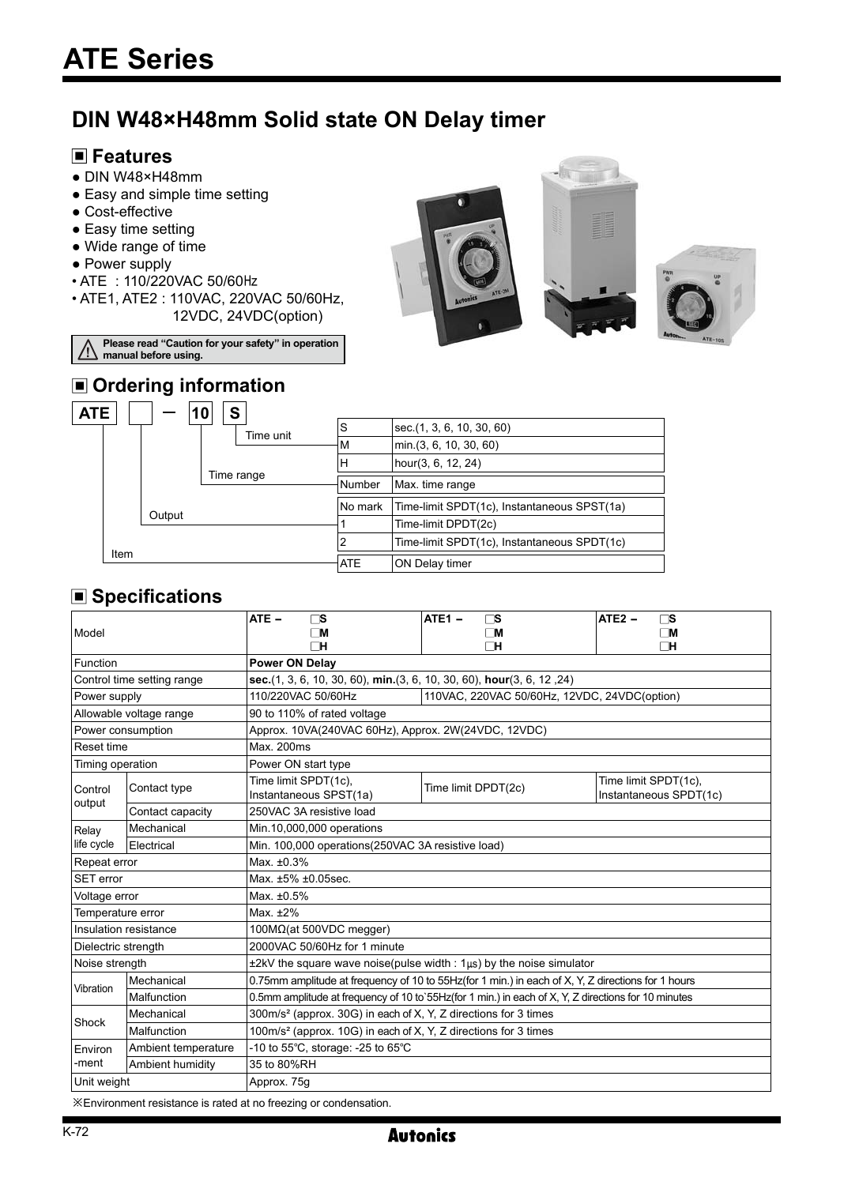# **DIN W48×H48mm Solid state ON Delay timer**

### **Features**

- DIN W48×H48mm
- Easy and simple time setting
- Cost-effective
- Easy time setting
- Wide range of time
- Power supply
- ATE : 110/220VAC 50/60Hz
- ATE1, ATE2 : 110VAC, 220VAC 50/60Hz, 12VDC, 24VDC(option)







## **Please read "Caution for your safety" in operation manual before using.**

# **n** Ordering information

| <b>ATE</b> |      | 10     |           |                 |                                             |
|------------|------|--------|-----------|-----------------|---------------------------------------------|
|            |      |        | Time unit | S               | sec. (1, 3, 6, 10, 30, 60)                  |
|            |      |        |           | M               | min.(3, 6, 10, 30, 60)                      |
| Time range |      |        |           | н               | hour(3, 6, 12, 24)                          |
|            |      |        | Number    | Max. time range |                                             |
|            |      |        |           |                 | Time-limit SPDT(1c), Instantaneous SPST(1a) |
|            |      |        |           |                 | Time-limit DPDT(2c)                         |
|            |      |        |           |                 | Time-limit SPDT(1c), Instantaneous SPDT(1c) |
|            |      |        |           | <b>ATE</b>      | <b>ON Delay timer</b>                       |
|            | Item | Output |           | S               | INo mark                                    |

## **Specifications**

| <b>Model</b>               |                     | ATE -<br>$\sqcap$ S<br>$\Box$ M<br>ΠН                                                               | ATE <sub>1</sub> -<br>ΓS<br>$\Box$ M<br>ΓН | $ATE2 -$<br>ΓS<br>$\Box$ M<br>ΠH               |  |  |  |
|----------------------------|---------------------|-----------------------------------------------------------------------------------------------------|--------------------------------------------|------------------------------------------------|--|--|--|
| Function                   |                     | <b>Power ON Delay</b>                                                                               |                                            |                                                |  |  |  |
| Control time setting range |                     | sec. (1, 3, 6, 10, 30, 60), min. (3, 6, 10, 30, 60), hour (3, 6, 12, 24)                            |                                            |                                                |  |  |  |
| Power supply               |                     | 110/220VAC 50/60Hz<br>110VAC, 220VAC 50/60Hz, 12VDC, 24VDC(option)                                  |                                            |                                                |  |  |  |
| Allowable voltage range    |                     | 90 to 110% of rated voltage                                                                         |                                            |                                                |  |  |  |
| Power consumption          |                     | Approx. 10VA(240VAC 60Hz), Approx. 2W(24VDC, 12VDC)                                                 |                                            |                                                |  |  |  |
| <b>Reset time</b>          |                     | Max. 200ms                                                                                          |                                            |                                                |  |  |  |
| Timing operation           |                     | Power ON start type                                                                                 |                                            |                                                |  |  |  |
| Control                    | Contact type        | Time limit SPDT(1c),<br>Instantaneous SPST(1a)                                                      | Time limit DPDT(2c)                        | Time limit SPDT(1c),<br>Instantaneous SPDT(1c) |  |  |  |
| output                     | Contact capacity    | 250VAC 3A resistive load                                                                            |                                            |                                                |  |  |  |
| Relay                      | Mechanical          | Min.10,000,000 operations                                                                           |                                            |                                                |  |  |  |
| life cycle                 | Electrical          | Min. 100,000 operations(250VAC 3A resistive load)                                                   |                                            |                                                |  |  |  |
| Repeat error               |                     | Max. ±0.3%                                                                                          |                                            |                                                |  |  |  |
| <b>SET</b> error           |                     | Max. ±5% ±0.05sec.                                                                                  |                                            |                                                |  |  |  |
| Voltage error              |                     | Max. ±0.5%                                                                                          |                                            |                                                |  |  |  |
| Temperature error          |                     | Max. $±2\%$                                                                                         |                                            |                                                |  |  |  |
| Insulation resistance      |                     | 100M $Ω$ (at 500VDC megger)                                                                         |                                            |                                                |  |  |  |
| Dielectric strength        |                     | 2000VAC 50/60Hz for 1 minute                                                                        |                                            |                                                |  |  |  |
| Noise strength             |                     | $\pm 2kV$ the square wave noise(pulse width : $1\mu s$ ) by the noise simulator                     |                                            |                                                |  |  |  |
| Vibration                  | Mechanical          | 0.75mm amplitude at frequency of 10 to 55Hz(for 1 min.) in each of X, Y, Z directions for 1 hours   |                                            |                                                |  |  |  |
|                            | Malfunction         | 0.5mm amplitude at frequency of 10 to 55Hz(for 1 min.) in each of X, Y, Z directions for 10 minutes |                                            |                                                |  |  |  |
| Shock                      | Mechanical          | 300m/s <sup>2</sup> (approx. 30G) in each of X, Y, Z directions for 3 times                         |                                            |                                                |  |  |  |
|                            | Malfunction         | 100m/s <sup>2</sup> (approx. 10G) in each of X, Y, Z directions for 3 times                         |                                            |                                                |  |  |  |
| Environ                    | Ambient temperature | -10 to 55°C, storage: -25 to 65°C                                                                   |                                            |                                                |  |  |  |
| -ment                      | Ambient humidity    | 35 to 80%RH                                                                                         |                                            |                                                |  |  |  |
| Unit weight                |                     | Approx. 75q                                                                                         |                                            |                                                |  |  |  |

※Environment resistance is rated at no freezing or condensation.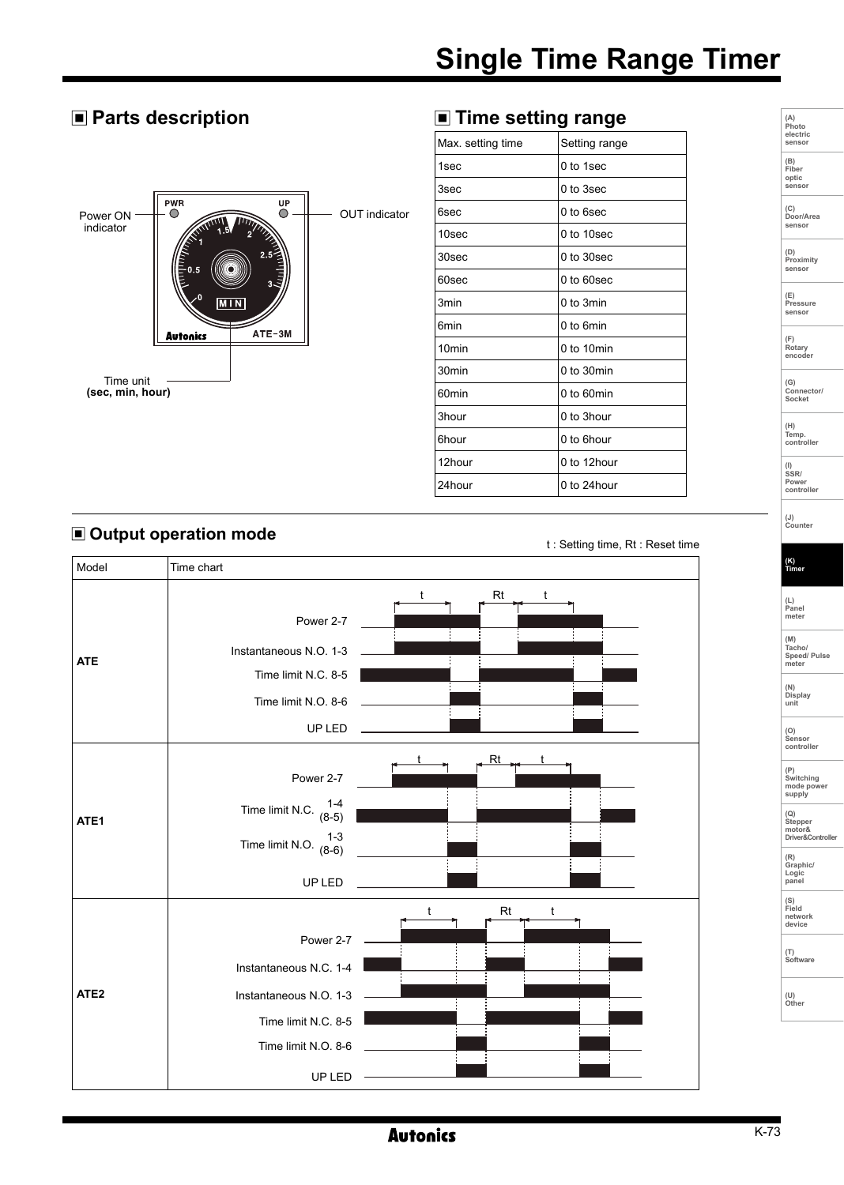# **Single Time Range Timer**

### **Parts description Time setting range**



| Max. setting time | Setting range |  |
|-------------------|---------------|--|
| 1sec              | 0 to 1sec     |  |
| 3sec              | 0 to 3sec     |  |
| 6sec              | 0 to 6sec     |  |
| 10sec             | 0 to 10sec    |  |
| 30sec             | 0 to 30sec    |  |
| 60sec             | $0$ to 60sec  |  |
| 3min              | 0 to 3min     |  |
| 6min              | 0 to 6min     |  |
| 10 <sub>min</sub> | 0 to 10min    |  |
| 30 <sub>min</sub> | 0 to 30min    |  |
| 60 <sub>min</sub> | 0 to 60min    |  |
| 3hour             | 0 to 3hour    |  |
| 6hour             | 0 to 6hour    |  |
| 12hour            | 0 to 12hour   |  |
| 24hour            | 0 to 24hour   |  |

#### **Output operation mode**

t : Setting time, Rt : Reset time